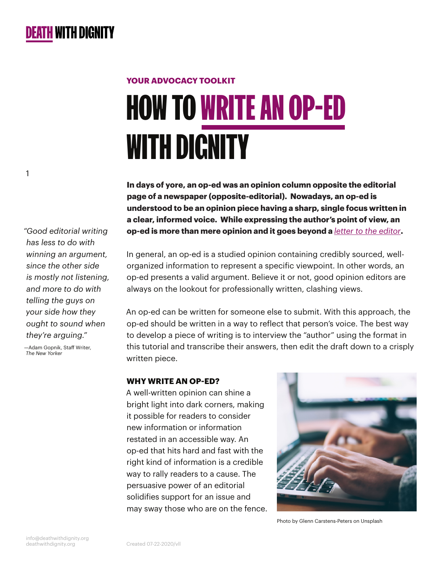# HOW TO WRITE AN OP-ED WITH DIGNITY **YOUR ADVOCACY TOOLKIT**

**In days of yore, an op-ed was an opinion column opposite the editorial page of a newspaper (opposite-editorial). Nowadays, an op-ed is understood to be an opinion piece having a sharp, single focus written in a clear, informed voice. While expressing the author's point of view, an op-ed is more than mere opinion and it goes beyond a** *[letter to the editor](https://deathwithdignity.org/learn/how-to-write-letter-to-editor/)***.**

In general, an op-ed is a studied opinion containing credibly sourced, wellorganized information to represent a specific viewpoint. In other words, an op-ed presents a valid argument. Believe it or not, good opinion editors are always on the lookout for professionally written, clashing views.

An op-ed can be written for someone else to submit. With this approach, the op-ed should be written in a way to reflect that person's voice. The best way to develop a piece of writing is to interview the "author" using the format in this tutorial and transcribe their answers, then edit the draft down to a crisply written piece.

#### **WHY WRITE AN OP-ED?**

A well-written opinion can shine a bright light into dark corners, making it possible for readers to consider new information or information restated in an accessible way. An op-ed that hits hard and fast with the right kind of information is a credible way to rally readers to a cause. The persuasive power of an editorial solidifies support for an issue and may sway those who are on the fence.



Photo by Glenn Carstens-Peters on Unsplash

*"Good editorial writing has less to do with winning an argument, since the other side is mostly not listening, and more to do with telling the guys on your side how they ought to sound when they're arguing."*

1

—Adam Gopnik, Staff Writer, *The New Yorker*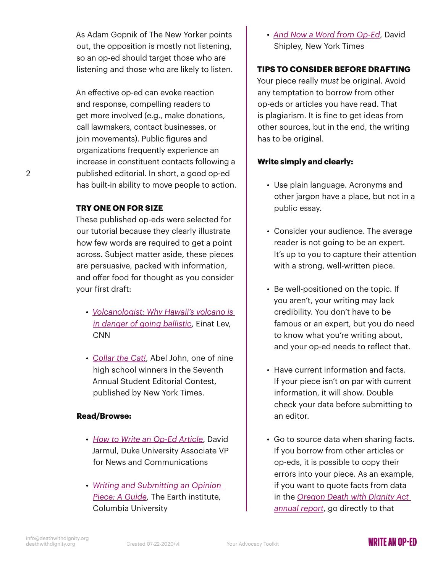As Adam Gopnik of The New Yorker points out, the opposition is mostly not listening, so an op-ed should target those who are listening and those who are likely to listen.

An effective op-ed can evoke reaction and response, compelling readers to get more involved (e.g., make donations, call lawmakers, contact businesses, or join movements). Public figures and organizations frequently experience an increase in constituent contacts following a published editorial. In short, a good op-ed has built-in ability to move people to action.

#### **TRY ONE ON FOR SIZE**

 $\mathfrak{D}$ 

These published op-eds were selected for our tutorial because they clearly illustrate how few words are required to get a point across. Subject matter aside, these pieces are persuasive, packed with information, and offer food for thought as you consider your first draft:

- *[Volcanologist: Why Hawaii's volcano is](https://www.cnn.com/2018/05/10/opinions/why-volcanoes-go-ballistic-lev/index.html)  [in danger of going ballistic](https://www.cnn.com/2018/05/10/opinions/why-volcanoes-go-ballistic-lev/index.html)*, Einat Lev, CNN
- *[Collar the Cat!](https://www.nytimes.com/2020/06/17/learning/collar-the-cat.html)*, Abel John, one of nine high school winners in the Seventh Annual Student Editorial Contest, published by New York Times.

#### **Read/Browse:**

- *[How to Write an Op-Ed Article](https://www.umass.edu/pep/sites/default/files/how_to_write_an_oped-duke_2.pdf)*, David Jarmul, Duke University Associate VP for News and Communications
- *[Writing and Submitting an Opinion](https://news.climate.columbia.edu/2020/05/04/writing-submitting-opinion-piece/)  [Piece: A Guide](https://news.climate.columbia.edu/2020/05/04/writing-submitting-opinion-piece/)*, The Earth institute, Columbia University

• *[And Now a Word from Op-Ed](https://www.nytimes.com/2004/02/01/opinion/and-now-a-word-from-op-ed.html)*, David Shipley, New York Times

## **TIPS TO CONSIDER BEFORE DRAFTING**

Your piece really *must* be original. Avoid any temptation to borrow from other op-eds or articles you have read. That is plagiarism. It is fine to get ideas from other sources, but in the end, the writing has to be original.

### **Write simply and clearly:**

- Use plain language. Acronyms and other jargon have a place, but not in a public essay.
- Consider your audience. The average reader is not going to be an expert. It's up to you to capture their attention with a strong, well-written piece.
- Be well-positioned on the topic. If you aren't, your writing may lack credibility. You don't have to be famous or an expert, but you do need to know what you're writing about, and your op-ed needs to reflect that.
- Have current information and facts. If your piece isn't on par with current information, it will show. Double check your data before submitting to an editor.
- Go to source data when sharing facts. If you borrow from other articles or op-eds, it is possible to copy their errors into your piece. As an example, if you want to quote facts from data in the *[Oregon Death with Dignity Act](https://www.oregon.gov/oha/PH/PROVIDERPARTNERRESOURCES/EVALUATIONRESEARCH/DEATHWITHDIGNITYACT/Documents/year22.pdf)  [annual report](https://www.oregon.gov/oha/PH/PROVIDERPARTNERRESOURCES/EVALUATIONRESEARCH/DEATHWITHDIGNITYACT/Documents/year22.pdf)*, go directly to that

## **WRITE AN OP-FD**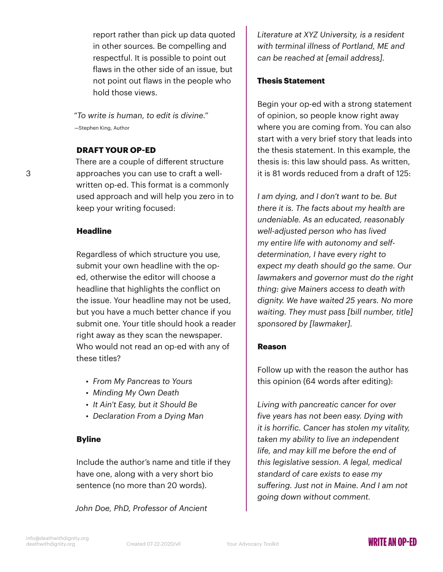report rather than pick up data quoted in other sources. Be compelling and respectful. It is possible to point out flaws in the other side of an issue, but not point out flaws in the people who hold those views.

*"To write is human, to edit is divine."* —Stephen King, Author

#### **DRAFT YOUR OP-ED**

There are a couple of different structure approaches you can use to craft a wellwritten op-ed. This format is a commonly used approach and will help you zero in to keep your writing focused:

#### **Headline**

3

Regardless of which structure you use, submit your own headline with the oped, otherwise the editor will choose a headline that highlights the conflict on the issue. Your headline may not be used, but you have a much better chance if you submit one. Your title should hook a reader right away as they scan the newspaper. Who would not read an op-ed with any of these titles?

- *From My Pancreas to Yours*
- *Minding My Own Death*
- *It Ain't Easy, but it Should Be*
- *Declaration From a Dying Man*

#### **Byline**

Include the author's name and title if they have one, along with a very short bio sentence (no more than 20 words).

*John Doe, PhD, Professor of Ancient* 

*Literature at XYZ University, is a resident with terminal illness of Portland, ME and can be reached at [email address].*

#### **Thesis Statement**

Begin your op-ed with a strong statement of opinion, so people know right away where you are coming from. You can also start with a very brief story that leads into the thesis statement. In this example, the thesis is: this law should pass. As written, it is 81 words reduced from a draft of 125:

*I am dying, and I don't want to be. But there it is. The facts about my health are undeniable. As an educated, reasonably well-adjusted person who has lived my entire life with autonomy and selfdetermination, I have every right to expect my death should go the same. Our lawmakers and governor must do the right thing: give Mainers access to death with dignity. We have waited 25 years. No more waiting. They must pass [bill number, title] sponsored by [lawmaker].*

#### **Reason**

Follow up with the reason the author has this opinion (64 words after editing):

*Living with pancreatic cancer for over five years has not been easy. Dying with it is horrific. Cancer has stolen my vitality, taken my ability to live an independent life, and may kill me before the end of this legislative session. A legal, medical standard of care exists to ease my suffering. Just not in Maine. And I am not going down without comment.*

# WRITF AN OP-FD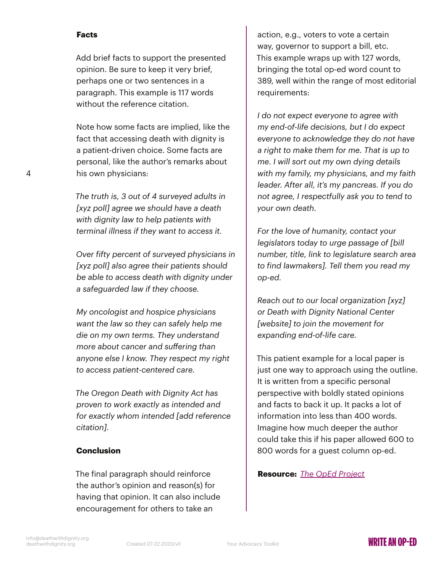#### **Facts**

Add brief facts to support the presented opinion. Be sure to keep it very brief, perhaps one or two sentences in a paragraph. This example is 117 words without the reference citation.

Note how some facts are implied, like the fact that accessing death with dignity is a patient-driven choice. Some facts are personal, like the author's remarks about his own physicians:

*The truth is, 3 out of 4 surveyed adults in [xyz poll] agree we should have a death with dignity law to help patients with terminal illness if they want to access it.* 

*Over fifty percent of surveyed physicians in [xyz poll] also agree their patients should be able to access death with dignity under a safeguarded law if they choose.*

*My oncologist and hospice physicians want the law so they can safely help me die on my own terms. They understand more about cancer and suffering than anyone else I know. They respect my right to access patient-centered care.*

*The Oregon Death with Dignity Act has proven to work exactly as intended and for exactly whom intended [add reference citation].*

#### **Conclusion**

The final paragraph should reinforce the author's opinion and reason(s) for having that opinion. It can also include encouragement for others to take an

action, e.g., voters to vote a certain way, governor to support a bill, etc. This example wraps up with 127 words, bringing the total op-ed word count to 389, well within the range of most editorial requirements:

*I do not expect everyone to agree with my end-of-life decisions, but I do expect everyone to acknowledge they do not have a right to make them for me. That is up to me. I will sort out my own dying details with my family, my physicians, and my faith leader. After all, it's my pancreas. If you do not agree, I respectfully ask you to tend to your own death.*

*For the love of humanity, contact your legislators today to urge passage of [bill number, title, link to legislature search area to find lawmakers]. Tell them you read my op-ed.* 

*Reach out to our local organization [xyz] or Death with Dignity National Center [website] to join the movement for expanding end-of-life care.*

This patient example for a local paper is just one way to approach using the outline. It is written from a specific personal perspective with boldly stated opinions and facts to back it up. It packs a lot of information into less than 400 words. Imagine how much deeper the author could take this if his paper allowed 600 to 800 words for a guest column op-ed.

**Resource:** *[The OpEd Project](https://www.theopedproject.org/)*